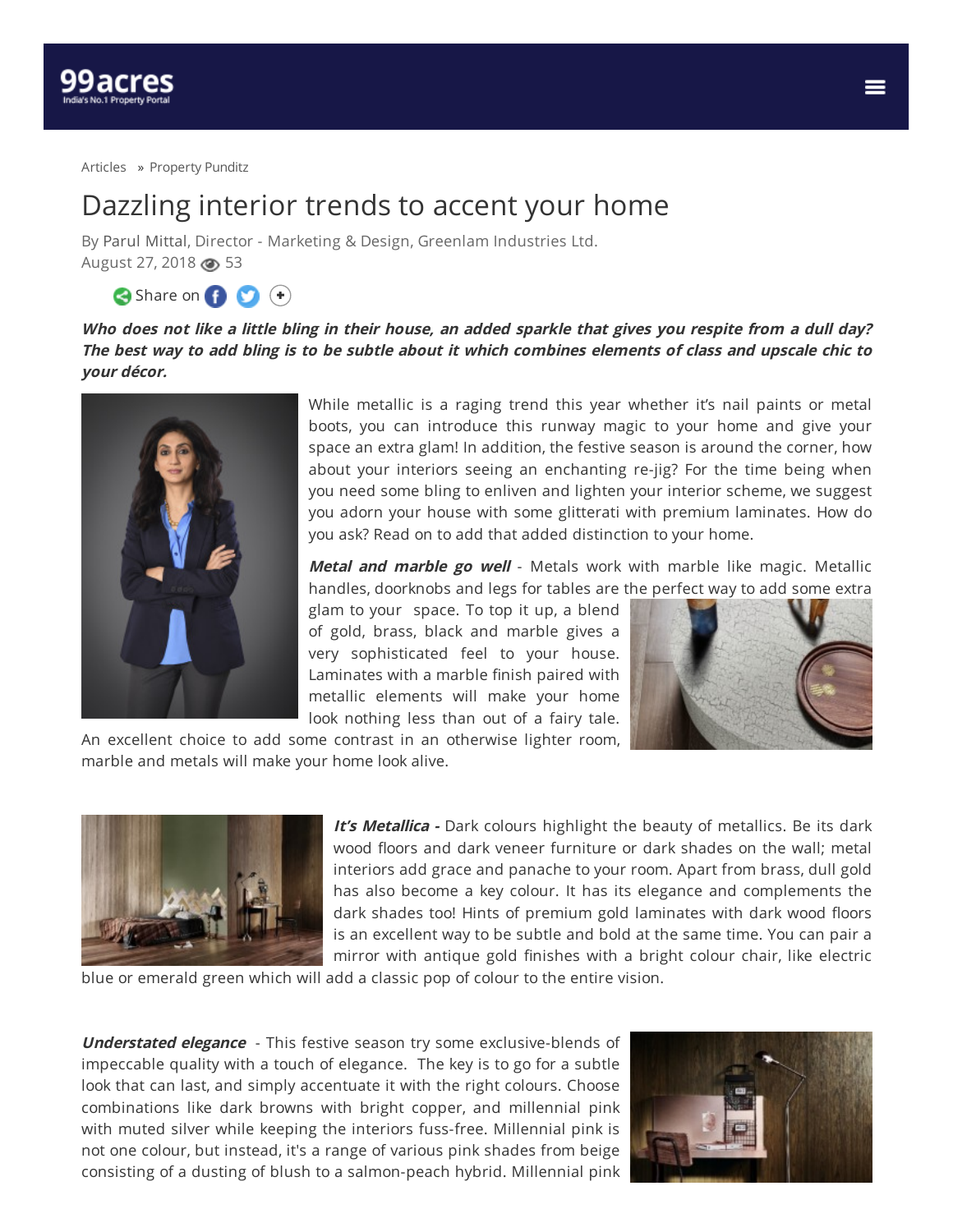

[Articles](https://www.99acres.com/articles/) » [Property](https://www.99acres.com/articles/property-punditz) Punditz

## Dazzling interior trends to accent your home

By Parul [Mittal](https://www.99acres.com/articles/author/parulmittal), Director - Marketing & Design, Greenlam Industries Ltd. August 27, 2018 **3** 

Share on **O** +

Who does not like a little bling in their house, an added sparkle that gives you respite from a dull day? The best way to add bling is to be subtle about it which combines elements of class and upscale chic to **your décor.**



While metallic is a raging trend this year whether it's nail paints or metal boots, you can introduce this runway magic to your home and give your space an extra glam! In addition, the festive season is around the corner, how about your interiors seeing an enchanting re-jig? For the time being when you need some bling to enliven and lighten your interior scheme, we suggest you adorn your house with some glitterati with premium laminates. How do you ask? Read on to add that added distinction to your home.

**Metal and marble go well** - Metals work with marble like magic. Metallic handles, doorknobs and legs for tables are the perfect way to add some extra

glam to your space. To top it up, a blend of gold, brass, black and marble gives a very sophisticated feel to your house. Laminates with a marble finish paired with metallic elements will make your home look nothing less than out of a fairy tale.



An excellent choice to add some contrast in an otherwise lighter room, marble and metals will make your home look alive.



**It's Metallica** - Dark colours highlight the beauty of metallics. Be its dark wood floors and dark veneer furniture or dark shades on the wall; metal interiors add grace and panache to your room. Apart from brass, dull gold has also become a key colour. It has its elegance and complements the dark shades too! Hints of premium gold laminates with dark wood floors is an excellent way to be subtle and bold at the same time. You can pair a mirror with antique gold finishes with a bright colour chair, like electric

blue or emerald green which will add a classic pop of colour to the entire vision.

**Understated elegance** - This festive season try some exclusive-blends of impeccable quality with a touch of elegance. The key is to go for a subtle look that can last, and simply accentuate it with the right colours. Choose combinations like dark browns with bright copper, and millennial pink with muted silver while keeping the interiors fuss-free. Millennial pink is not one colour, but instead, it's a range of various pink shades from beige consisting of a dusting of blush to a salmon-peach hybrid. Millennial pink